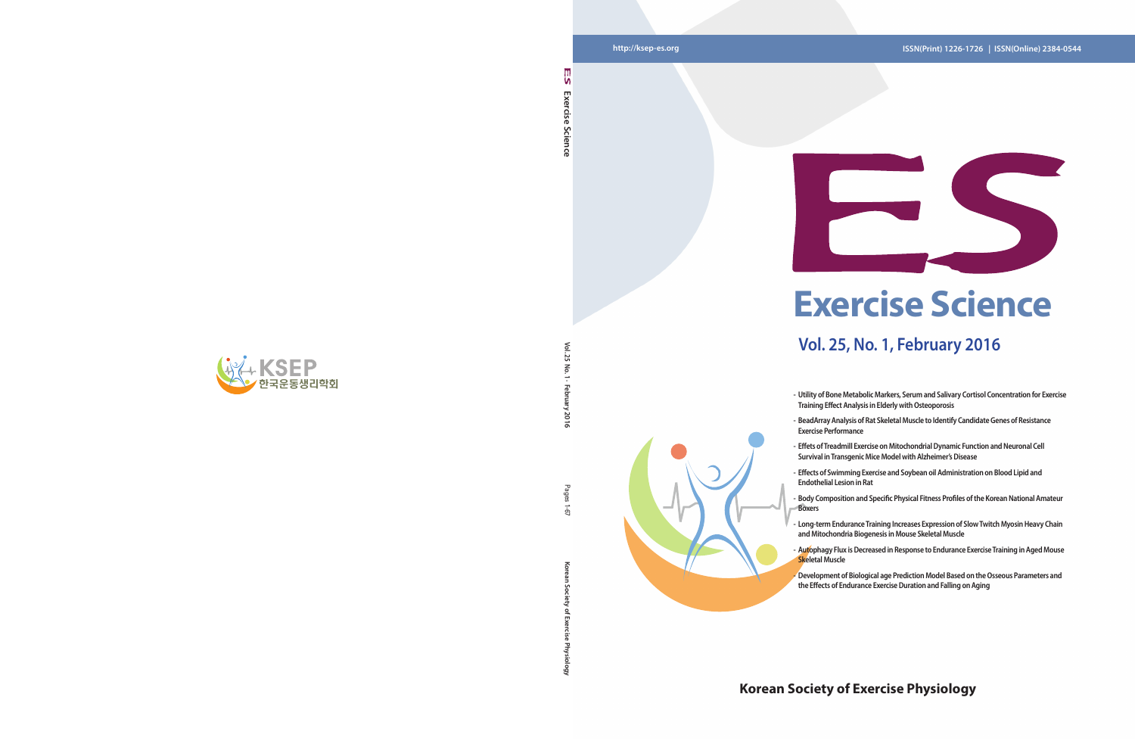**Korean Society of Exercise Physiology** Pages 1-67 ਨ

Goi

### **http://ksep-es.org ISSN(Print) 1226-1726 | ISSN(Online) 2384-0544**

### **Korean Society of Exercise Physiology**





## **Vol. 25, No. 1, February 2016**

**- Utility of Bone Metabolic Markers, Serum and Salivary Cortisol Concentration for Exercise Training Effect Analysis in Elderly with Osteoporosis** 

- **- BeadArray Analysis of Rat Skeletal Muscle to Identify Candidate Genes of Resistance**
- **- Effects of Swimming Exercise and Soybean oil Administration on Blood Lipid and**
- **- Body Composition and Specific Physical Fitness Profiles of the Korean National Amateur**
- **- Long-term Endurance Training Increases Expression of Slow Twitch Myosin Heavy Chain and Mitochondria Biogenesis in Mouse Skeletal Muscle**
- **- Autophagy Flux is Decreased in Response to Endurance Exercise Training in Aged Mouse**
- 
- **Exercise Performance**
- **- Effets of Treadmill Exercise on Mitochondrial Dynamic Function and Neuronal Cell Survival in Transgenic Mice Model with Alzheimer's Disease**
- **Endothelial Lesion in Rat**
- **Boxers**
- 
- **Skeletal Muscle**
	- **- Development of Biological age Prediction Model Based on the Osseous Parameters and the Effects of Endurance Exercise Duration and Falling on Aging**

۱n Exercise **Exercise Science**  Science

 $\leq$ **Vol. 25 No. 1 · February 2016** ង  $\overline{5}$ 2016

Pages

 $-6$